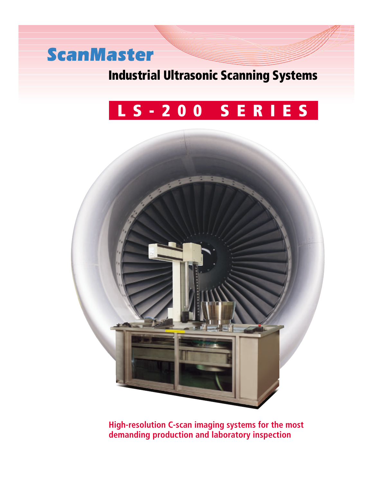# *ScanMaster*

### **Industrial Ultrasonic Scanning Systems**

# **LS-200 SERIES**



**High-resolution C-scan imaging systems for the most demanding production and laboratory inspection**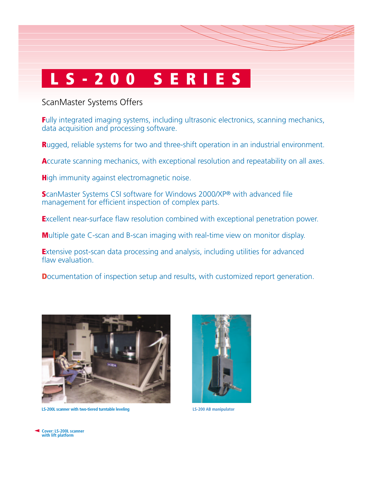#### ScanMaster Systems Offers

**Fully integrated imaging systems, including ultrasonic electronics, scanning mechanics,** data acquisition and processing software.

**R**ugged, reliable systems for two and three-shift operation in an industrial environment.

Accurate scanning mechanics, with exceptional resolution and repeatability on all axes.

**High immunity against electromagnetic noise.** 

**S**canMaster Systems CSI software for Windows 2000/XP® with advanced file management for efficient inspection of complex parts.

**E**xcellent near-surface flaw resolution combined with exceptional penetration power.

**M**ultiple gate C-scan and B-scan imaging with real-time view on monitor display.

**E**xtensive post-scan data processing and analysis, including utilities for advanced flaw evaluation

**D**ocumentation of inspection setup and results, with customized report generation.



**LS-200L scanner with two-tiered turntable leveling LS-200 AB manipulator**



**Cover: LS-200L scanner with lift platform**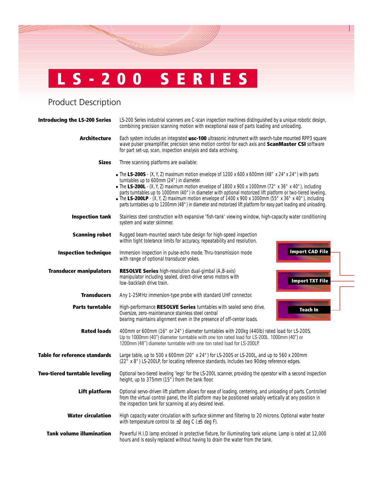Product Description

| <b>Introducing the LS-200 Series</b> | LS-200 Series industrial scanners are C-scan inspection machines distinguished by a unique robotic design,<br>combining precision scanning motion with exceptional ease of parts loading and unloading.                                                                                                                                                                                                                                                                                                                                                                                                         |
|--------------------------------------|-----------------------------------------------------------------------------------------------------------------------------------------------------------------------------------------------------------------------------------------------------------------------------------------------------------------------------------------------------------------------------------------------------------------------------------------------------------------------------------------------------------------------------------------------------------------------------------------------------------------|
| <b>Architecture</b>                  | Each system includes an integrated usc-100 ultrasonic instrument with search-tube mounted RPP3 square<br>wave pulser preamplifier, precision servo motion control for each axis and ScanMaster CSI software<br>for part set-up, scan, inspection analysis and data archiving.                                                                                                                                                                                                                                                                                                                                   |
| <b>Sizes</b>                         | Three scanning platforms are available:                                                                                                                                                                                                                                                                                                                                                                                                                                                                                                                                                                         |
|                                      | • The LS-200S - $(X, Y, Z)$ maximum motion envelope of 1200 x 600 x 600mm (48" x 24" x 24") with parts<br>turntables up to 600mm (24") in diameter.<br>• The LS-200L - $(X, Y, Z)$ maximum motion envelope of 1800 x 900 x 1000mm (72" x 36" x 40"), including<br>parts turntables up to 1000mm (40") in diameter with optional motorized lift platform or two-tiered leveling.<br>• The LS-200LP - $(X, Y, Z)$ maximum motion envelope of 1400 x 900 x 1000mm (55" x 36" x 40"), including<br>parts turntables up to 1200mm (48") in diameter and motorized lift platform for easy part loading and unloading. |
| <b>Inspection tank</b>               | Stainless steel construction with expansive 'fish-tank' viewing window, high-capacity water conditioning<br>system and water skimmer.                                                                                                                                                                                                                                                                                                                                                                                                                                                                           |
| <b>Scanning robot</b>                | Rugged beam-mounted search tube design for high-speed inspection<br>within tight tolerance limits for accuracy, repeatability and resolution.                                                                                                                                                                                                                                                                                                                                                                                                                                                                   |
| <b>Inspection technique</b>          | <b>Import CAD File</b><br>Immersion inspection in pulse-echo mode. Thru-transmission mode<br>with range of optional transducer yokes.                                                                                                                                                                                                                                                                                                                                                                                                                                                                           |
| <b>Transducer manipulators</b>       | <b>RESOLVE Series</b> high-resolution dual-gimbal (A,B-axis)<br>manipulator including sealed, direct-drive servo motors with<br><b>Import TXT File</b><br>low-backlash drive train.                                                                                                                                                                                                                                                                                                                                                                                                                             |
| <b>Transducers</b>                   | Any 1-25MHz immersion-type probe with standard UHF connector.                                                                                                                                                                                                                                                                                                                                                                                                                                                                                                                                                   |
| <b>Parts turntable</b>               | High-performance RESOLVE Series turntables with sealed servo drive.<br><b>Teach In</b><br>Oversize, zero-maintenance stainless steel central<br>bearing maintains alignment even in the presence of off-center loads.                                                                                                                                                                                                                                                                                                                                                                                           |
| <b>Rated loads</b>                   | 400mm or 600mm (16" or 24") diameter turntables with 200kg (440lb) rated load for LS-200S.<br>Up to 1000mm (40") diameter turntable with one ton rated load for LS-200L. 1000mm (40") or<br>1200mm (48") diameter turntable with one ton rated load for LS-200LP.                                                                                                                                                                                                                                                                                                                                               |
| <b>Table for reference standards</b> | Large table, up to 500 x 600mm (20" x 24") for LS-200S or LS-200L, and up to 560 x 200mm<br>(22" x 8") LS-200LP, for locating reference standards. Includes two 90deg reference edges.                                                                                                                                                                                                                                                                                                                                                                                                                          |
| <b>Two-tiered turntable leveling</b> | Optional two-tiered leveling 'legs' for the LS-200L scanner, providing the operator with a second inspection<br>height, up to 375mm (15") from the tank floor.                                                                                                                                                                                                                                                                                                                                                                                                                                                  |
| Lift platform                        | Optional servo-driven lift platform allows for ease of loading, centering, and unloading of parts. Controlled<br>from the virtual control panel, the lift platform may be positioned variably vertically at any position in<br>the inspection tank for scanning at any desired level.                                                                                                                                                                                                                                                                                                                           |
| <b>Water circulation</b>             | High capacity water circulation with surface skimmer and filtering to 20 microns. Optional water heater<br>with temperature control to $\pm 2$ deg C ( $\pm 5$ deg F).                                                                                                                                                                                                                                                                                                                                                                                                                                          |
| <b>Tank volume illumination</b>      | Powerful H.I.D lamp enclosed in protective fixture, for illuminating tank volume. Lamp is rated at 12,000<br>hours and is easily replaced without having to drain the water from the tank.                                                                                                                                                                                                                                                                                                                                                                                                                      |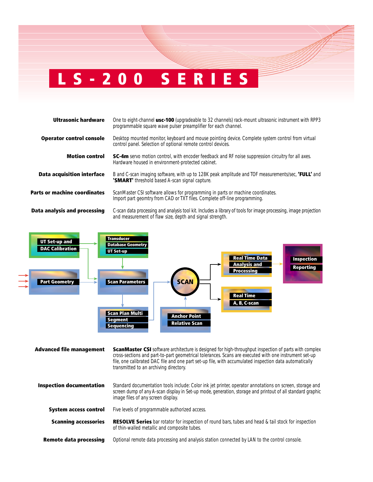| Ultrasonic hardware               | One to eight-channel usc-100 (upgradeable to 32 channels) rack-mount ultrasonic instrument with RPP3<br>programmable square wave pulser preamplifier for each channel.       |
|-----------------------------------|------------------------------------------------------------------------------------------------------------------------------------------------------------------------------|
| <b>Operator control console</b>   | Desktop mounted monitor, keyboard and mouse pointing device. Complete system control from virtual<br>control panel. Selection of optional remote control devices.            |
| <b>Motion control</b>             | <b>SC-4m</b> servo motion control, with encoder feedback and RF noise suppression circuitry for all axes.<br>Hardware housed in environment-protected cabinet.               |
| <b>Data acquisition interface</b> | B and C-scan imaging software, with up to 128K peak amplitude and TOF measurements/sec, 'FULL' and<br>'SMART' threshold based A-scan signal capture.                         |
| Parts or machine coordinates      | ScanMaster CSI software allows for programming in parts or machine coordinates.<br>Import part geomtry from CAD or TXT files. Complete off-line programming.                 |
| Data analysis and processing      | C-scan data processing and analysis tool kit. Includes a library of tools for image processing, image projection<br>and measurement of flaw size, depth and signal strength. |



| <b>Advanced file management</b> | <b>ScanMaster CSI</b> software architecture is designed for high-throughput inspection of parts with complex<br>cross-sections and part-to-part geometrical tolerances. Scans are executed with one instrument set-up<br>file, one calibrated DAC file and one part set-up file, with accumulated inspection data automatically<br>transmitted to an archiving directory. |
|---------------------------------|---------------------------------------------------------------------------------------------------------------------------------------------------------------------------------------------------------------------------------------------------------------------------------------------------------------------------------------------------------------------------|
| <b>Inspection documentation</b> | Standard documentation tools include: Color ink jet printer, operator annotations on screen, storage and<br>screen dump of any A-scan display in Set-up mode, generation, storage and printout of all standard graphic<br>image files of any screen display.                                                                                                              |
| <b>System access control</b>    | Five levels of programmable authorized access.                                                                                                                                                                                                                                                                                                                            |
| <b>Scanning accessories</b>     | <b>RESOLVE Series</b> bar rotator for inspection of round bars, tubes and head & tail stock for inspection<br>of thin-walled metallic and composite tubes.                                                                                                                                                                                                                |
| <b>Remote data processing</b>   | Optional remote data processing and analysis station connected by LAN to the control console.                                                                                                                                                                                                                                                                             |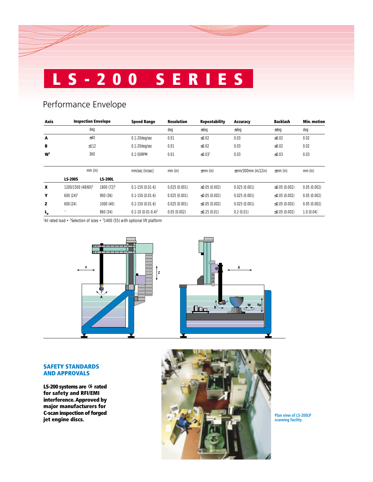### Performance Envelope

| <b>Axis</b>    | <b>Inspection Envelope</b>     |                | <b>Speed Range</b>           | <b>Resolution</b> | <b>Repeatability</b>     | <b>Accuracy</b>          | <b>Backlash</b>     | Min. motion |
|----------------|--------------------------------|----------------|------------------------------|-------------------|--------------------------|--------------------------|---------------------|-------------|
|                | deg                            |                |                              | deg               | ±deg                     | ±deg                     | $±$ deg             | deg         |
| A              | ±40                            |                | 0.1-20deg/sec                | 0.01              | $\leq 0.02$              | 0.03                     | $≤0.02$             | 0.02        |
| в              | ±112                           |                | 0.1-20deg/sec                | 0.01              | $≤0.02$                  | 0.03                     | $\leq 0.02$         | 0.02        |
| W <sup>1</sup> | 360                            |                | 0.1-50RPM                    | 0.01              | $\leq 0.03$ <sup>1</sup> | 0.03                     | $≤0.03$             | 0.03        |
|                | $mm$ (in)                      |                | mm/sec (in/sec)<br>$mm$ (in) |                   | $\pm$ mm (in)            | $\pm$ mm/300mm (in/12in) | $\pm$ mm (in)       | $mm$ (in)   |
|                | <b>LS-200S</b>                 | <b>LS-200L</b> |                              |                   |                          |                          |                     |             |
| X              | 1200/1500 (48/60) <sup>2</sup> | $1800(72)^3$   | $0.1 - 150(0.01 - 6)$        | 0.025(0.001)      | $\leq$ 0.05 (0.002)      | 0.025(0.001)             | $\leq$ 0.05 (0.002) | 0.05(0.002) |
| Υ              | $600(24)^2$                    | 900(36)        | $0.1 - 150(0.01 - 6)$        | 0.025(0.001)      | $\leq$ 0.05 (0.002)      | 0.025(0.001)             | $\leq$ 0.05 (0.002) | 0.05(0.002) |
| z              | 600(24)                        | 1000 (40)      | $0.1 - 150(0.01 - 6)$        | 0.025(0.001)      | $\leq$ 0.05 (0.002)      | 0.025(0.001)             | $\leq$ 0.05 (0.002) | 0.05(0.002) |
| $L_{\rm p}$    |                                | 860 (34)       | $0.1 - 10(0.01 - 0.4)^T$     | 0.05(0.002)       | $\leq$ 0.25 (0.01)       | 0.2(0.01)                | $\leq$ 0.05 (0.002) | 1.0(0.04)   |

<sup>1</sup>At rated load • <sup>2</sup>Selection of sizes • <sup>3</sup>1400 (55) with optional lift platform



#### **SAFETY STANDARDS AND APPROVALS**

**LS-200 systems are G rated for safety and RFI/EMI interference. Approved by major manufacturers for C-scan inspection of forged jet engine discs.**



**Plan view of LS-200LP scanning facility**